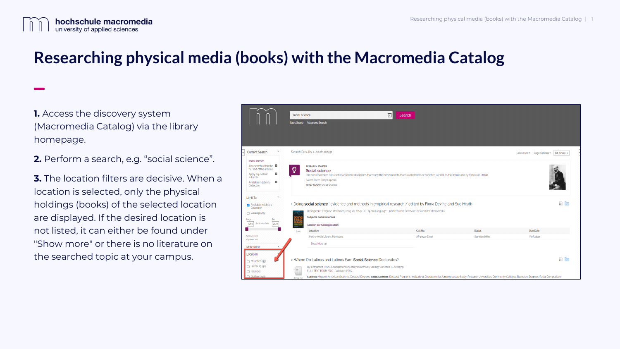

## **Researching physical media (books) with the Macromedia Catalog**

**1.** Access the discovery system (Macromedia Catalog) via the library homepage.

**2.** Perform a search, e.g. "social science".

**3.** The location filters are decisive. When a location is selected, only the physical holdings (books) of the selected location are displayed. If the desired location is not listed, it can either be found under "Show more" or there is no literature on the searched topic at your campus.

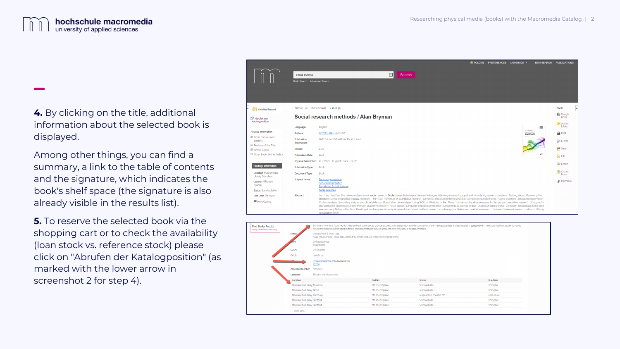

**4.** By clicking on the title, additional information about the selected book is displayed.

Among other things, you can find a summary, a link to the table of contents and the signature, which indicates the book's shelf space (the signature is also already visible in the results list).

**5.** To reserve the selected book via the shopping cart or to check the availability (loan stock vs. reference stock) please click on "Abrufen der Katalogposition" (as marked with the lower arrow in screenshot 2 for step 4).



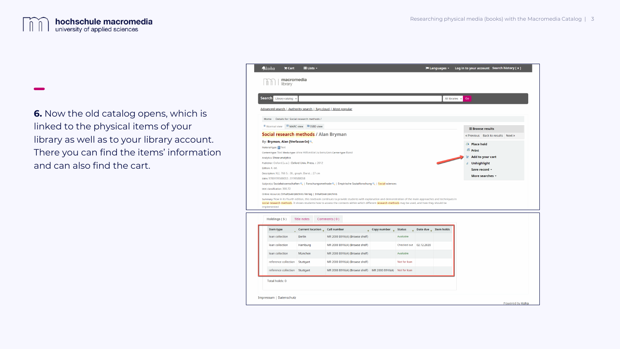

**6.** Now the old catalog opens, which is linked to the physical items of your library as well as to your library account. There you can find the items' information and can also find the cart.

| $\boldsymbol{\theta}$ koha<br>$\mathbb{F}$ Cart                                                                                                                                                                                                                                                                                                                            | i≡ Lists ~                                                                                                                                                                                                                                                                                                                                                 | $\blacktriangleright$ Languages $\triangleright$ | Log in to your account Search history [ x ]                                                                                                |
|----------------------------------------------------------------------------------------------------------------------------------------------------------------------------------------------------------------------------------------------------------------------------------------------------------------------------------------------------------------------------|------------------------------------------------------------------------------------------------------------------------------------------------------------------------------------------------------------------------------------------------------------------------------------------------------------------------------------------------------------|--------------------------------------------------|--------------------------------------------------------------------------------------------------------------------------------------------|
| macromedia<br>library                                                                                                                                                                                                                                                                                                                                                      |                                                                                                                                                                                                                                                                                                                                                            |                                                  |                                                                                                                                            |
| Search Library catalog v                                                                                                                                                                                                                                                                                                                                                   | Advanced search   Authority search   Tag cloud   Most popular                                                                                                                                                                                                                                                                                              | All libraries $\sim$                             | Go                                                                                                                                         |
| Home > Details for: Social research methods /<br><sup>B</sup> Normal view                                                                                                                                                                                                                                                                                                  | MARC view <b>E</b> ISBD view                                                                                                                                                                                                                                                                                                                               |                                                  | $\equiv$ Browse results                                                                                                                    |
|                                                                                                                                                                                                                                                                                                                                                                            | Social research methods / Alan Bryman                                                                                                                                                                                                                                                                                                                      |                                                  | « Previous Back to results Next »                                                                                                          |
| By: Bryman, Alan [VerfasserIn] <sup>e</sup><br>Material type: Text<br>Analytics: Show analytics<br>Publisher: Oxford [u.a.] : Oxford Univ. Press, c 2012<br>Fdition: 4, ed.<br>Description: XLI, 766 S. : Ill., graph. Darst. ; 27 cm<br>ISBN: 9780199588053; 0199588058<br>DDC classification: 300.72<br>Online resources: Inhaltsverzeichnis Verlag   Inhaltsverzeichnis | Content type: Text Media type: ohne Hilfsmittel zu benutzen Carrier type: Band<br>Subject(s): Sozialwissenschaften Q   Forschungsmethode Q   Empirische Sozialforschung Q   Social sciences<br>Summary: Now in its fourth edition, this textbook continues to provide students with explanation and demonstration of the main approaches and techniques in |                                                  | <sup>2</sup> Place hold<br>$\epsilon$ Print<br><b>Add to your cart</b><br>冒<br><b>Unhighlight</b><br>b<br>Save record -<br>More searches + |
| implemented                                                                                                                                                                                                                                                                                                                                                                | social research methods. It shows students how to assess the contexts within which different research methods may be used, and how they should be                                                                                                                                                                                                          |                                                  |                                                                                                                                            |

| <b>Item type</b>               | Current location _ Call number |                                                | <b>Copy number</b> Status |                        | Date due $\triangle$ Item holds |  |
|--------------------------------|--------------------------------|------------------------------------------------|---------------------------|------------------------|---------------------------------|--|
| loan collection                | <b>Berlin</b>                  | MR 2000 B916(4) (Browse shelf)                 |                           | Available              |                                 |  |
| loan collection                | Hamburg                        | MR 2000 B916(4) (Browse shelf)                 |                           | Checked out 02.12.2020 |                                 |  |
| loan collection                | München                        | MR 2000 B916(4) (Browse shelf)                 |                           | Available              |                                 |  |
| reference collection           | Stuttgart                      | MR 2000 B916(4) (Browse shelf)                 |                           | Not for loan           |                                 |  |
| reference collection Stuttgart |                                | MR 2000 B916(4) (Browse shelf) MR 2000 B916(4) |                           | Not for loan           |                                 |  |
| Total holds: 0                 |                                |                                                |                           |                        |                                 |  |
|                                |                                |                                                |                           |                        |                                 |  |